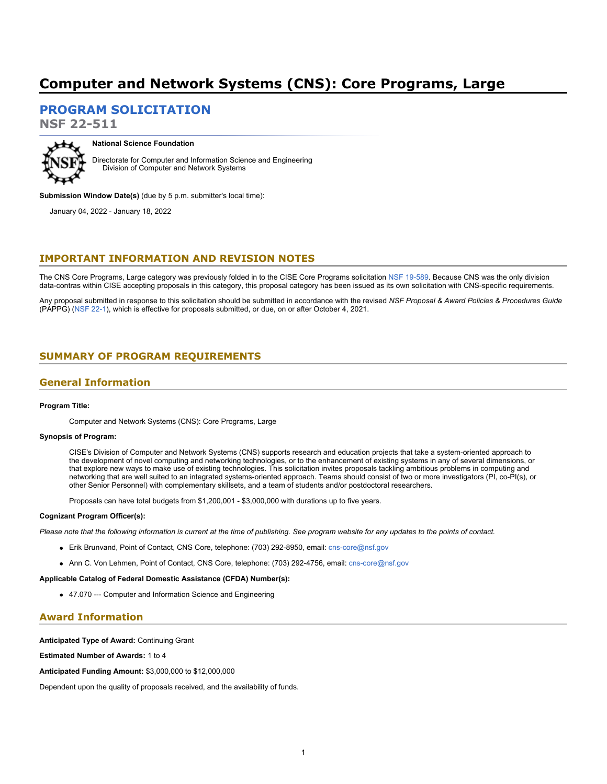# **Computer and Network Systems (CNS): Core Programs, Large**

**[PROGRAM SOLICITATION](#page-2-0)**

**NSF 22-511**



**National Science Foundation**

Directorate for Computer and Information Science and Engineering Division of Computer and Network Systems

**Submission Window Date(s)** (due by 5 p.m. submitter's local time):

January 04, 2022 - January 18, 2022

### **IMPORTANT INFORMATION AND REVISION NOTES**

The CNS Core Programs, Large category was previously folded in to the CISE Core Programs solicitation [NSF 19-589](https://www.nsf.gov/publications/pub_summ.jsp?ods_key=nsf19589). Because CNS was the only division data-contras within CISE accepting proposals in this category, this proposal category has been issued as its own solicitation with CNS-specific requirements.

Any proposal submitted in response to this solicitation should be submitted in accordance with the revised *NSF Proposal & Award Policies & Procedures Guide* (PAPPG) [\(NSF 22-1](https://www.nsf.gov/publications/pub_summ.jsp?ods_key=nsf22001&org=NSF)), which is effective for proposals submitted, or due, on or after October 4, 2021.

# <span id="page-0-0"></span>**SUMMARY OF PROGRAM REQUIREMENTS**

### **General Information**

### **Program Title:**

Computer and Network Systems (CNS): Core Programs, Large

### **Synopsis of Program:**

CISE's Division of Computer and Network Systems (CNS) supports research and education projects that take a system-oriented approach to the development of novel computing and networking technologies, or to the enhancement of existing systems in any of several dimensions, or that explore new ways to make use of existing technologies. This solicitation invites proposals tackling ambitious problems in computing and networking that are well suited to an integrated systems-oriented approach. Teams should consist of two or more investigators (PI, co-PI(s), or other Senior Personnel) with complementary skillsets, and a team of students and/or postdoctoral researchers.

Proposals can have total budgets from \$1,200,001 - \$3,000,000 with durations up to five years.

#### **Cognizant Program Officer(s):**

*Please note that the following information is current at the time of publishing. See program website for any updates to the points of contact.*

- Erik Brunvand, Point of Contact, CNS Core, telephone: (703) 292-8950, email: [cns-core@nsf.gov](mailto:cns-core@nsf.gov)
- Ann C. Von Lehmen, Point of Contact, CNS Core, telephone: (703) 292-4756, email: [cns-core@nsf.gov](mailto:cns-core@nsf.gov)

#### **Applicable Catalog of Federal Domestic Assistance (CFDA) Number(s):**

47.070 --- Computer and Information Science and Engineering

# **Award Information**

### **Anticipated Type of Award:** Continuing Grant

**Estimated Number of Awards:** 1 to 4

**Anticipated Funding Amount:** \$3,000,000 to \$12,000,000

Dependent upon the quality of proposals received, and the availability of funds.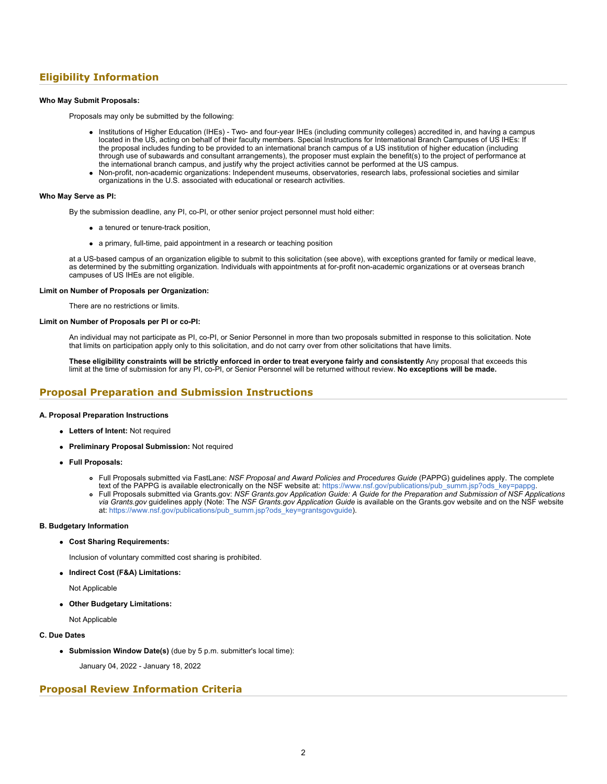# **Eligibility Information**

### **Who May Submit Proposals:**

Proposals may only be submitted by the following:

- Institutions of Higher Education (IHEs) Two- and four-year IHEs (including community colleges) accredited in, and having a campus located in the US, acting on behalf of their faculty members. Special Instructions for International Branch Campuses of US IHEs: If the proposal includes funding to be provided to an international branch campus of a US institution of higher education (including through use of subawards and consultant arrangements), the proposer must explain the benefit(s) to the project of performance at the international branch campus, and justify why the project activities cannot be performed at the US campus.
- Non-profit, non-academic organizations: Independent museums, observatories, research labs, professional societies and similar organizations in the U.S. associated with educational or research activities.

### **Who May Serve as PI:**

By the submission deadline, any PI, co-PI, or other senior project personnel must hold either:

- a tenured or tenure-track position,
- a primary, full-time, paid appointment in a research or teaching position

at a US-based campus of an organization eligible to submit to this solicitation (see above), with exceptions granted for family or medical leave, as determined by the submitting organization. Individuals with appointments at for-profit non-academic organizations or at overseas branch campuses of US IHEs are not eligible.

### **Limit on Number of Proposals per Organization:**

There are no restrictions or limits.

### **Limit on Number of Proposals per PI or co-PI:**

An individual may not participate as PI, co-PI, or Senior Personnel in more than two proposals submitted in response to this solicitation. Note that limits on participation apply only to this solicitation, and do not carry over from other solicitations that have limits.

**These eligibility constraints will be strictly enforced in order to treat everyone fairly and consistently** Any proposal that exceeds this limit at the time of submission for any PI, co-PI, or Senior Personnel will be returned without review. **No exceptions will be made.**

### **Proposal Preparation and Submission Instructions**

### **A. Proposal Preparation Instructions**

- **Letters of Intent:** Not required
- **Preliminary Proposal Submission:** Not required
- **Full Proposals:**
	- Full Proposals submitted via FastLane: *NSF Proposal and Award Policies and Procedures Guide* (PAPPG) guidelines apply. The complete text of the PAPPG is available electronically on the NSF website at: [https://www.nsf.gov/publications/pub\\_summ.jsp?ods\\_key=pappg](https://www.nsf.gov/publications/pub_summ.jsp?ods_key=pappg).
	- Full Proposals submitted via Grants.gov: *NSF Grants.gov Application Guide: A Guide for the Preparation and Submission of NSF Applications via Grants.gov* guidelines apply (Note: The *NSF Grants.gov Application Guide* is available on the Grants.gov website and on the NSF website at: [https://www.nsf.gov/publications/pub\\_summ.jsp?ods\\_key=grantsgovguide](https://www.nsf.gov/publications/pub_summ.jsp?ods_key=grantsgovguide)).

### **B. Budgetary Information**

#### **Cost Sharing Requirements:**

Inclusion of voluntary committed cost sharing is prohibited.

**Indirect Cost (F&A) Limitations:**

Not Applicable

**Other Budgetary Limitations:**

Not Applicable

### **C. Due Dates**

**Submission Window Date(s)** (due by 5 p.m. submitter's local time):

January 04, 2022 - January 18, 2022

# **Proposal Review Information Criteria**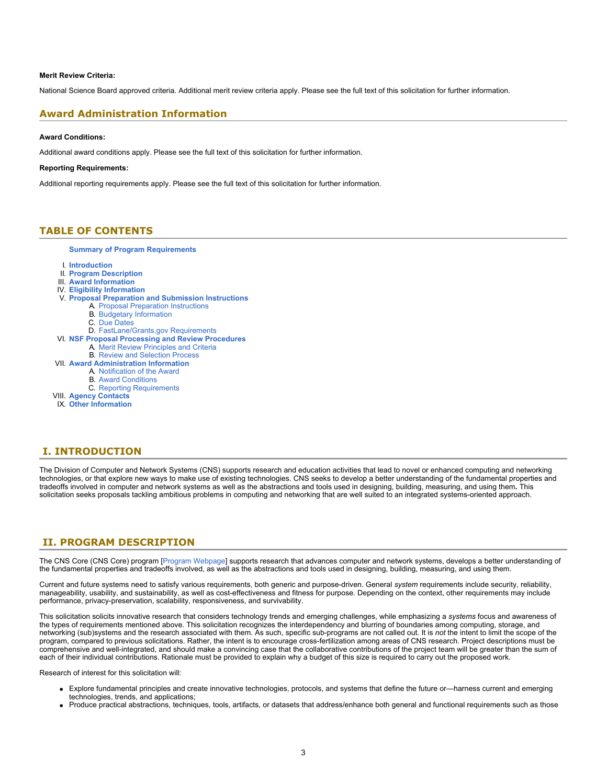### **Merit Review Criteria:**

National Science Board approved criteria. Additional merit review criteria apply. Please see the full text of this solicitation for further information.

### **Award Administration Information**

### **Award Conditions:**

Additional award conditions apply. Please see the full text of this solicitation for further information.

#### **Reporting Requirements:**

Additional reporting requirements apply. Please see the full text of this solicitation for further information.

### <span id="page-2-0"></span>**TABLE OF CONTENTS**

**[Summary of Program Requirements](#page-0-0)**

- I. **[Introduction](#page-2-1)**
- II. **[Program Description](#page-2-2)**
- III. **[Award Information](#page-4-0)**
- IV. **[Eligibility Information](#page-4-1)**
- V. **[Proposal Preparation and Submission Instructions](#page-5-0)**
	- A. [Proposal Preparation Instructions](#page-5-0)
	- B. [Budgetary Information](#page-7-0)
	- C. [Due Dates](#page-7-1)
	- D. [FastLane/Grants.gov Requirements](#page-7-2)
- VI. **[NSF Proposal Processing and Review Procedures](#page-8-0)**
	- A. [Merit Review Principles and Criteria](#page-8-1)
- B. [Review and Selection Process](#page-9-0) VII. **[Award Administration Information](#page-10-0)**
	- A. [Notification of the Award](#page-10-1)
		- B. [Award Conditions](#page-10-2)
		-
	- C. [Reporting Requirements](#page-10-3)
- VIII. **[Agency Contacts](#page-11-0)** IX. **[Other Information](#page-11-1)**

## <span id="page-2-1"></span>**I. INTRODUCTION**

The Division of Computer and Network Systems (CNS) supports research and education activities that lead to novel or enhanced computing and networking technologies, or that explore new ways to make use of existing technologies. CNS seeks to develop a better understanding of the fundamental properties and tradeoffs involved in computer and network systems as well as the abstractions and tools used in designing, building, measuring, and using them**.** This solicitation seeks proposals tackling ambitious problems in computing and networking that are well suited to an integrated systems-oriented approach.

# <span id="page-2-2"></span>**II. PROGRAM DESCRIPTION**

The CNS Core (CNS Core) program [\[Program Webpage](https://nsf.gov/funding/pgm_summ.jsp?pims_id=505671)] supports research that advances computer and network systems, develops a better understanding of the fundamental properties and tradeoffs involved, as well as the abstractions and tools used in designing, building, measuring, and using them.

Current and future systems need to satisfy various requirements, both generic and purpose-driven. General *system* requirements include security, reliability, manageability, usability, and sustainability, as well as cost-effectiveness and fitness for purpose. Depending on the context, other requirements may include performance, privacy-preservation, scalability, responsiveness, and survivability.

This solicitation solicits innovative research that considers technology trends and emerging challenges, while emphasizing a *systems* focus and awareness of the types of requirements mentioned above. This solicitation recognizes the interdependency and blurring of boundaries among computing, storage, and networking (sub)systems and the research associated with them. As such, specific sub-programs are not called out. It is *not* the intent to limit the scope of the program, compared to previous solicitations. Rather, the intent is to encourage cross-fertilization among areas of CNS research. Project descriptions must be comprehensive and well-integrated, and should make a convincing case that the collaborative contributions of the project team will be greater than the sum of each of their individual contributions. Rationale must be provided to explain why a budget of this size is required to carry out the proposed work.

Research of interest for this solicitation will:

- Explore fundamental principles and create innovative technologies, protocols, and systems that define the future or—harness current and emerging technologies, trends, and applications;
- Produce practical abstractions, techniques, tools, artifacts, or datasets that address/enhance both general and functional requirements such as those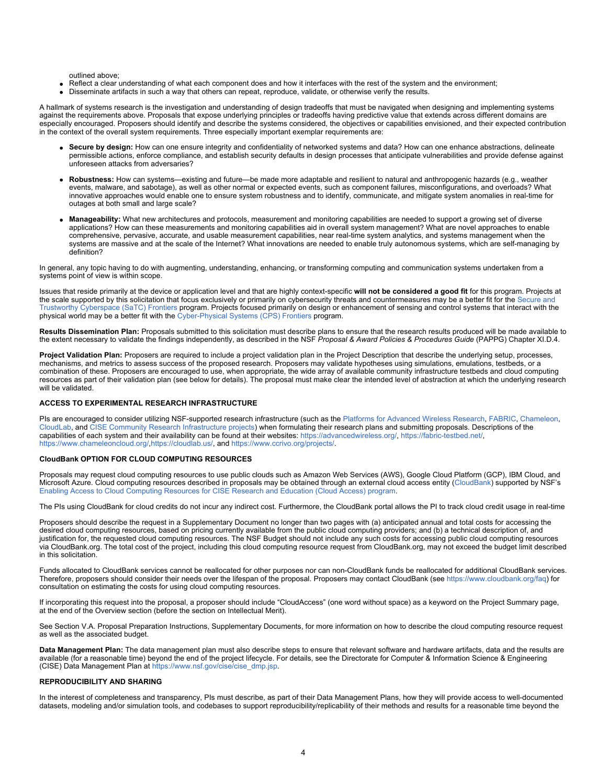outlined above;

- Reflect a clear understanding of what each component does and how it interfaces with the rest of the system and the environment;
- Disseminate artifacts in such a way that others can repeat, reproduce, validate, or otherwise verify the results.

A hallmark of systems research is the investigation and understanding of design tradeoffs that must be navigated when designing and implementing systems against the requirements above. Proposals that expose underlying principles or tradeoffs having predictive value that extends across different domains are especially encouraged. Proposers should identify and describe the systems considered, the objectives or capabilities envisioned, and their expected contribution in the context of the overall system requirements. Three especially important exemplar requirements are:

- **Secure by design:** How can one ensure integrity and confidentiality of networked systems and data? How can one enhance abstractions, delineate permissible actions, enforce compliance, and establish security defaults in design processes that anticipate vulnerabilities and provide defense against unforeseen attacks from adversaries?
- **Robustness:** How can systems—existing and future—be made more adaptable and resilient to natural and anthropogenic hazards (e.g., weather events, malware, and sabotage), as well as other normal or expected events, such as component failures, misconfigurations, and overloads? What innovative approaches would enable one to ensure system robustness and to identify, communicate, and mitigate system anomalies in real-time for outages at both small and large scale?
- **Manageability:** What new architectures and protocols, measurement and monitoring capabilities are needed to support a growing set of diverse applications? How can these measurements and monitoring capabilities aid in overall system management? What are novel approaches to enable comprehensive, pervasive, accurate, and usable measurement capabilities, near real-time system analytics, and systems management when the systems are massive and at the scale of the Internet? What innovations are needed to enable truly autonomous systems, which are self-managing by definition?

In general, any topic having to do with augmenting, understanding, enhancing, or transforming computing and communication systems undertaken from a systems point of view is within scope.

Issues that reside primarily at the device or application level and that are highly context-specific **will not be considered a good fit** for this program. Projects at the scale supported by this solicitation that focus exclusively or primarily on cybersecurity threats and countermeasures may be a better fit for the [Secure and](https://nsf.gov/funding/pgm_summ.jsp?pims_id=505641) [Trustworthy Cyberspace \(SaTC\) Frontiers](https://nsf.gov/funding/pgm_summ.jsp?pims_id=505641) program. Projects focused primarily on design or enhancement of sensing and control systems that interact with the physical world may be a better fit with the [Cyber-Physical Systems \(CPS\) Frontiers](https://www.nsf.gov/funding/pgm_summ.jsp?pims_id=503286) program.

**Results Dissemination Plan:** Proposals submitted to this solicitation must describe plans to ensure that the research results produced will be made available to the extent necessary to validate the findings independently, as described in the NSF *Proposal & Award Policies & Procedures Guide* (PAPPG) Chapter XI.D.4.

**Project Validation Plan:** Proposers are required to include a project validation plan in the Project Description that describe the underlying setup, processes, mechanisms, and metrics to assess success of the proposed research. Proposers may validate hypotheses using simulations, emulations, testbeds, or a combination of these. Proposers are encouraged to use, when appropriate, the wide array of available community infrastructure testbeds and cloud computing resources as part of their validation plan (see below for details). The proposal must make clear the intended level of abstraction at which the underlying research will be validated.

### **ACCESS TO EXPERIMENTAL RESEARCH INFRASTRUCTURE**

PIs are encouraged to consider utilizing NSF-supported research infrastructure (such as the [Platforms for Advanced Wireless Research](https://www.nsf.gov/cgi-bin/goodbye?https://advancedwireless.org/), [FABRIC](https://www.nsf.gov/cgi-bin/goodbye?https://fabric-testbed.net/), [Chameleon](https://www.nsf.gov/cgi-bin/goodbye?https://www.chameleoncloud.org/), [CloudLab,](https://www.nsf.gov/cgi-bin/goodbye?https://www.cloudlab.us/) and [CISE Community Research Infrastructure projects](https://www.nsf.gov/cgi-bin/goodbye?https://www.ccrivo.org/projects/)) when formulating their research plans and submitting proposals. Descriptions of the capabilities of each system and their availability can be found at their websites: [https://advancedwireless.org/](https://www.nsf.gov/cgi-bin/goodbye?https://advancedwireless.org/), [https://fabric-testbed.net/](https://www.nsf.gov/cgi-bin/goodbye?https://fabric-testbed.net/), [https://www.chameleoncloud.org/](https://www.nsf.gov/cgi-bin/goodbye?https://www.chameleoncloud.org/)[,https://cloudlab.us/](https://www.nsf.gov/cgi-bin/goodbye?https://cloudlab.us/), and [https://www.ccrivo.org/projects/](https://www.nsf.gov/cgi-bin/goodbye?https://www.ccrivo.org/projects/).

### **CloudBank OPTION FOR CLOUD COMPUTING RESOURCES**

Proposals may request cloud computing resources to use public clouds such as Amazon Web Services (AWS), Google Cloud Platform (GCP), IBM Cloud, and Microsoft Azure. Cloud computing resources described in proposals may be obtained through an external cloud access entity [\(CloudBank](https://www.nsf.gov/cgi-bin/goodbye?https://www.cloudbank.org/)) supported by NSF's [Enabling Access to Cloud Computing Resources for CISE Research and Education \(Cloud Access\) program](https://www.nsf.gov/funding/pgm_summ.jsp?pims_id=505591).

The PIs using CloudBank for cloud credits do not incur any indirect cost. Furthermore, the CloudBank portal allows the PI to track cloud credit usage in real-time

Proposers should describe the request in a Supplementary Document no longer than two pages with (a) anticipated annual and total costs for accessing the desired cloud computing resources, based on pricing currently available from the public cloud computing providers; and (b) a technical description of, and justification for, the requested cloud computing resources. The NSF Budget should not include any such costs for accessing public cloud computing resources via CloudBank.org. The total cost of the project, including this cloud computing resource request from CloudBank.org, may not exceed the budget limit described in this solicitation.

Funds allocated to CloudBank services cannot be reallocated for other purposes nor can non-CloudBank funds be reallocated for additional CloudBank services. Therefore, proposers should consider their needs over the lifespan of the proposal. Proposers may contact CloudBank (see [https://www.cloudbank.org/faq](https://www.nsf.gov/cgi-bin/goodbye?https://www.cloudbank.org/faq)) for consultation on estimating the costs for using cloud computing resources.

If incorporating this request into the proposal, a proposer should include "CloudAccess" (one word without space) as a keyword on the Project Summary page, at the end of the Overview section (before the section on Intellectual Merit).

See Section V.A. Proposal Preparation Instructions, Supplementary Documents, for more information on how to describe the cloud computing resource request as well as the associated budget.

**Data Management Plan:** The data management plan must also describe steps to ensure that relevant software and hardware artifacts, data and the results are available (for a reasonable time) beyond the end of the project lifecycle. For details, see the Directorate for Computer & Information Science & Engineering (CISE) Data Management Plan at [https://www.nsf.gov/cise/cise\\_dmp.jsp](https://www.nsf.gov/cise/cise_dmp.jsp).

### **REPRODUCIBILITY AND SHARING**

In the interest of completeness and transparency, PIs must describe, as part of their Data Management Plans, how they will provide access to well-documented datasets, modeling and/or simulation tools, and codebases to support reproducibility/replicability of their methods and results for a reasonable time beyond the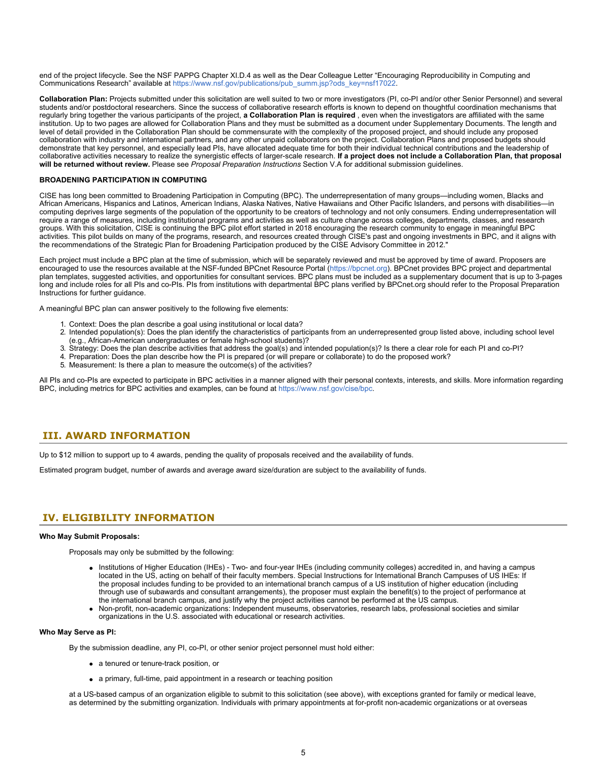end of the project lifecycle. See the NSF PAPPG Chapter XI.D.4 as well as the Dear Colleague Letter "Encouraging Reproducibility in Computing and Communications Research" available at [https://www.nsf.gov/publications/pub\\_summ.jsp?ods\\_key=nsf17022](https://www.nsf.gov/publications/pub_summ.jsp?ods_key=nsf17022).

**Collaboration Plan:** Projects submitted under this solicitation are well suited to two or more investigators (PI, co-PI and/or other Senior Personnel) and several students and/or postdoctoral researchers. Since the success of collaborative research efforts is known to depend on thoughtful coordination mechanisms that regularly bring together the various participants of the project, **a Collaboration Plan is required** , even when the investigators are affiliated with the same institution. Up to two pages are allowed for Collaboration Plans and they must be submitted as a document under Supplementary Documents. The length and level of detail provided in the Collaboration Plan should be commensurate with the complexity of the proposed project, and should include any proposed collaboration with industry and international partners, and any other unpaid collaborators on the project. Collaboration Plans and proposed budgets should demonstrate that key personnel, and especially lead PIs, have allocated adequate time for both their individual technical contributions and the leadership of collaborative activities necessary to realize the synergistic effects of larger-scale research. **If a project does not include a Collaboration Plan, that proposal will be returned without review.** Please see *Proposal Preparation Instructions* Section V.A for additional submission guidelines.

### **BROADENING PARTICIPATION IN COMPUTING**

CISE has long been committed to Broadening Participation in Computing (BPC). The underrepresentation of many groups—including women, Blacks and African Americans, Hispanics and Latinos, American Indians, Alaska Natives, Native Hawaiians and Other Pacific Islanders, and persons with disabilities—in computing deprives large segments of the population of the opportunity to be creators of technology and not only consumers. Ending underrepresentation will require a range of measures, including institutional programs and activities as well as culture change across colleges, departments, classes, and research groups. With this solicitation, CISE is continuing the BPC pilot effort started in 2018 encouraging the research community to engage in meaningful BPC activities. This pilot builds on many of the programs, research, and resources created through CISE's past and ongoing investments in BPC, and it aligns with the recommendations of the Strategic Plan for Broadening Participation produced by the CISE Advisory Committee in 2012."

Each project must include a BPC plan at the time of submission, which will be separately reviewed and must be approved by time of award. Proposers are encouraged to use the resources available at the NSF-funded BPCnet Resource Portal [\(https://bpcnet.org](https://www.nsf.gov/cgi-bin/goodbye?https://bpcnet.org)). BPCnet provides BPC project and departmental plan templates, suggested activities, and opportunities for consultant services. BPC plans must be included as a supplementary document that is up to 3-pages long and include roles for all PIs and co-PIs. PIs from institutions with departmental BPC plans verified by BPCnet.org should refer to the Proposal Preparation Instructions for further guidance.

A meaningful BPC plan can answer positively to the following five elements:

- 1. Context: Does the plan describe a goal using institutional or local data? 2. Intended population(s): Does the plan identify the characteristics of participants from an underrepresented group listed above, including school level
- (e.g., African-American undergraduates or female high-school students)?
- 3. Strategy: Does the plan describe activities that address the goal(s) and intended population(s)? Is there a clear role for each PI and co-PI?
- 4. Preparation: Does the plan describe how the PI is prepared (or will prepare or collaborate) to do the proposed work?
- 5. Measurement: Is there a plan to measure the outcome(s) of the activities?

All PIs and co-PIs are expected to participate in BPC activities in a manner aligned with their personal contexts, interests, and skills. More information regarding BPC, including metrics for BPC activities and examples, can be found at [https://www.nsf.gov/cise/bpc.](https://www.nsf.gov/cise/bpc)

# <span id="page-4-0"></span>**III. AWARD INFORMATION**

Up to \$12 million to support up to 4 awards, pending the quality of proposals received and the availability of funds.

Estimated program budget, number of awards and average award size/duration are subject to the availability of funds.

# <span id="page-4-1"></span>**IV. ELIGIBILITY INFORMATION**

### **Who May Submit Proposals:**

Proposals may only be submitted by the following:

- Institutions of Higher Education (IHEs) Two- and four-year IHEs (including community colleges) accredited in, and having a campus located in the US, acting on behalf of their faculty members. Special Instructions for International Branch Campuses of US IHEs: If the proposal includes funding to be provided to an international branch campus of a US institution of higher education (including through use of subawards and consultant arrangements), the proposer must explain the benefit(s) to the project of performance at the international branch campus, and justify why the project activities cannot be performed at the US campus.
- Non-profit, non-academic organizations: Independent museums, observatories, research labs, professional societies and similar organizations in the U.S. associated with educational or research activities.

### **Who May Serve as PI:**

By the submission deadline, any PI, co-PI, or other senior project personnel must hold either:

- a tenured or tenure-track position, or
- a primary, full-time, paid appointment in a research or teaching position

at a US-based campus of an organization eligible to submit to this solicitation (see above), with exceptions granted for family or medical leave, as determined by the submitting organization. Individuals with primary appointments at for-profit non-academic organizations or at overseas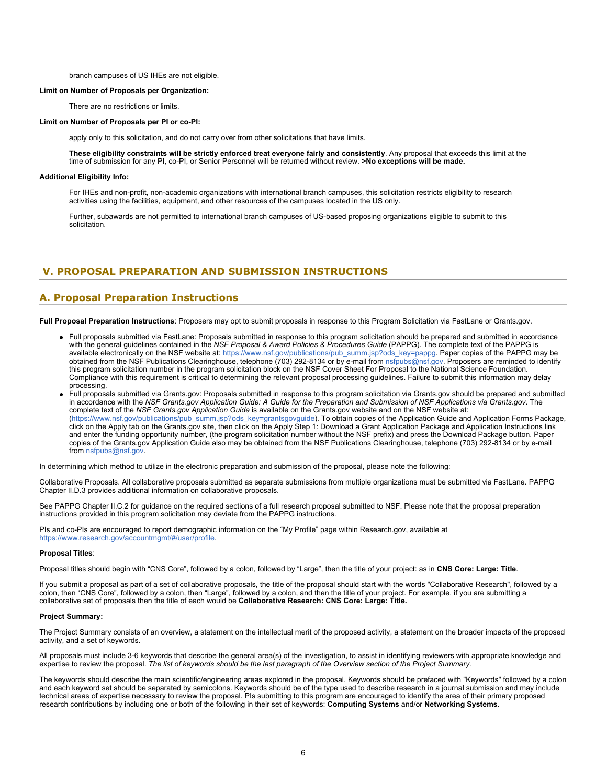### branch campuses of US IHEs are not eligible.

### **Limit on Number of Proposals per Organization:**

There are no restrictions or limits.

#### **Limit on Number of Proposals per PI or co-PI:**

apply only to this solicitation, and do not carry over from other solicitations that have limits.

**These eligibility constraints will be strictly enforced treat everyone fairly and consistently**. Any proposal that exceeds this limit at the time of submission for any PI, co-PI, or Senior Personnel will be returned without review. **>No exceptions will be made.**

#### **Additional Eligibility Info:**

For IHEs and non-profit, non-academic organizations with international branch campuses, this solicitation restricts eligibility to research activities using the facilities, equipment, and other resources of the campuses located in the US only.

Further, subawards are not permitted to international branch campuses of US-based proposing organizations eligible to submit to this solicitation.

# <span id="page-5-0"></span>**V. PROPOSAL PREPARATION AND SUBMISSION INSTRUCTIONS**

### **A. Proposal Preparation Instructions**

**Full Proposal Preparation Instructions**: Proposers may opt to submit proposals in response to this Program Solicitation via FastLane or Grants.gov.

- Full proposals submitted via FastLane: Proposals submitted in response to this program solicitation should be prepared and submitted in accordance with the general guidelines contained in the *NSF Proposal & Award Policies & Procedures Guide* (PAPPG). The complete text of the PAPPG is available electronically on the NSF website at: [https://www.nsf.gov/publications/pub\\_summ.jsp?ods\\_key=pappg](https://www.nsf.gov/publications/pub_summ.jsp?ods_key=pappg). Paper copies of the PAPPG may be obtained from the NSF Publications Clearinghouse, telephone (703) 292-8134 or by e-mail from [nsfpubs@nsf.gov](mailto:nsfpubs@nsf.gov). Proposers are reminded to identify this program solicitation number in the program solicitation block on the NSF Cover Sheet For Proposal to the National Science Foundation. Compliance with this requirement is critical to determining the relevant proposal processing guidelines. Failure to submit this information may delay processing.
- Full proposals submitted via Grants.gov: Proposals submitted in response to this program solicitation via Grants.gov should be prepared and submitted in accordance with the *NSF Grants.gov Application Guide: A Guide for the Preparation and Submission of NSF Applications via Grants.gov*. The complete text of the *NSF Grants.gov Application Guide* is available on the Grants.gov website and on the NSF website at: [\(https://www.nsf.gov/publications/pub\\_summ.jsp?ods\\_key=grantsgovguide](https://www.nsf.gov/publications/pub_summ.jsp?ods_key=grantsgovguide)). To obtain copies of the Application Guide and Application Forms Package, click on the Apply tab on the Grants.gov site, then click on the Apply Step 1: Download a Grant Application Package and Application Instructions link and enter the funding opportunity number, (the program solicitation number without the NSF prefix) and press the Download Package button. Paper copies of the Grants.gov Application Guide also may be obtained from the NSF Publications Clearinghouse, telephone (703) 292-8134 or by e-mail from [nsfpubs@nsf.gov](mailto:nsfpubs@nsf.gov).

In determining which method to utilize in the electronic preparation and submission of the proposal, please note the following:

Collaborative Proposals. All collaborative proposals submitted as separate submissions from multiple organizations must be submitted via FastLane. PAPPG Chapter II.D.3 provides additional information on collaborative proposals.

See PAPPG Chapter II.C.2 for guidance on the required sections of a full research proposal submitted to NSF. Please note that the proposal preparation instructions provided in this program solicitation may deviate from the PAPPG instructions.

PIs and co-PIs are encouraged to report demographic information on the "My Profile" page within Research.gov, available at <https://www.research.gov/accountmgmt/#/user/profile>.

### **Proposal Titles**:

Proposal titles should begin with "CNS Core", followed by a colon, followed by "Large", then the title of your project: as in **CNS Core: Large: Title**.

If you submit a proposal as part of a set of collaborative proposals, the title of the proposal should start with the words "Collaborative Research", followed by a colon, then "CNS Core", followed by a colon, then "Large", followed by a colon, and then the title of your project. For example, if you are submitting a collaborative set of proposals then the title of each would be **Collaborative Research: CNS Core: Large: Title.**

#### **Project Summary:**

The Project Summary consists of an overview, a statement on the intellectual merit of the proposed activity, a statement on the broader impacts of the proposed activity, and a set of keywords.

All proposals must include 3-6 keywords that describe the general area(s) of the investigation, to assist in identifying reviewers with appropriate knowledge and expertise to review the proposal. *The list of keywords should be the last paragraph of the Overview section of the Project Summary.*

The keywords should describe the main scientific/engineering areas explored in the proposal. Keywords should be prefaced with "Keywords" followed by a colon and each keyword set should be separated by semicolons. Keywords should be of the type used to describe research in a journal submission and may include technical areas of expertise necessary to review the proposal. PIs submitting to this program are encouraged to identify the area of their primary proposed research contributions by including one or both of the following in their set of keywords: **Computing Systems** and/or **Networking Systems**.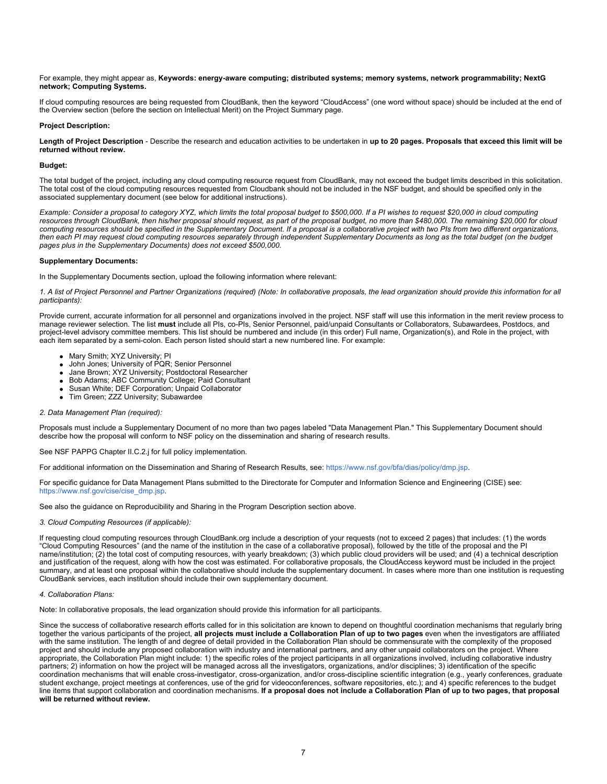For example, they might appear as, **Keywords: energy-aware computing; distributed systems; memory systems, network programmability; NextG network; Computing Systems.**

If cloud computing resources are being requested from CloudBank, then the keyword "CloudAccess" (one word without space) should be included at the end of the Overview section (before the section on Intellectual Merit) on the Project Summary page.

### **Project Description:**

**Length of Project Description** - Describe the research and education activities to be undertaken in **up to 20 pages. Proposals that exceed this limit will be returned without review.**

#### **Budget:**

The total budget of the project, including any cloud computing resource request from CloudBank, may not exceed the budget limits described in this solicitation. The total cost of the cloud computing resources requested from Cloudbank should not be included in the NSF budget, and should be specified only in the associated supplementary document (see below for additional instructions).

*Example: Consider a proposal to category XYZ, which limits the total proposal budget to \$500,000. If a PI wishes to request \$20,000 in cloud computing resources through CloudBank, then his/her proposal should request, as part of the proposal budget, no more than \$480,000. The remaining \$20,000 for cloud computing resources should be specified in the Supplementary Document. If a proposal is a collaborative project with two PIs from two different organizations, then each PI may request cloud computing resources separately through independent Supplementary Documents as long as the total budget (on the budget pages plus in the Supplementary Documents) does not exceed \$500,000.*

### **Supplementary Documents:**

In the Supplementary Documents section, upload the following information where relevant:

*1. A list of Project Personnel and Partner Organizations (required) (Note: In collaborative proposals, the lead organization should provide this information for all participants):*

Provide current, accurate information for all personnel and organizations involved in the project. NSF staff will use this information in the merit review process to manage reviewer selection. The list **must** include all PIs, co-PIs, Senior Personnel, paid/unpaid Consultants or Collaborators, Subawardees, Postdocs, and project-level advisory committee members. This list should be numbered and include (in this order) Full name, Organization(s), and Role in the project, with each item separated by a semi-colon. Each person listed should start a new numbered line. For example:

- Mary Smith; XYZ University; PI
- John Jones; University of PQR; Senior Personnel
- Jane Brown; XYZ University; Postdoctoral Researcher
- Bob Adams; ABC Community College; Paid Consultant
- Susan White; DEF Corporation; Unpaid Collaborator
- Tim Green; ZZZ University; Subawardee

### *2. Data Management Plan (required):*

Proposals must include a Supplementary Document of no more than two pages labeled "Data Management Plan." This Supplementary Document should describe how the proposal will conform to NSF policy on the dissemination and sharing of research results.

See NSF PAPPG Chapter II.C.2.j for full policy implementation.

For additional information on the Dissemination and Sharing of Research Results, see:<https://www.nsf.gov/bfa/dias/policy/dmp.jsp>.

For specific guidance for Data Management Plans submitted to the Directorate for Computer and Information Science and Engineering (CISE) see: [https://www.nsf.gov/cise/cise\\_dmp.jsp](https://www.nsf.gov/cise/cise_dmp.jsp).

See also the guidance on Reproducibility and Sharing in the Program Description section above.

### *3. Cloud Computing Resources (if applicable):*

If requesting cloud computing resources through CloudBank.org include a description of your requests (not to exceed 2 pages) that includes: (1) the words "Cloud Computing Resources" (and the name of the institution in the case of a collaborative proposal), followed by the title of the proposal and the PI name/institution; (2) the total cost of computing resources, with yearly breakdown; (3) which public cloud providers will be used; and (4) a technical description and justification of the request, along with how the cost was estimated. For collaborative proposals, the CloudAccess keyword must be included in the project summary, and at least one proposal within the collaborative should include the supplementary document. In cases where more than one institution is requesting CloudBank services, each institution should include their own supplementary document.

### *4. Collaboration Plans:*

Note: In collaborative proposals, the lead organization should provide this information for all participants.

Since the success of collaborative research efforts called for in this solicitation are known to depend on thoughtful coordination mechanisms that regularly bring together the various participants of the project, **all projects must include a Collaboration Plan of up to two pages** even when the investigators are affiliated with the same institution. The length of and degree of detail provided in the Collaboration Plan should be commensurate with the complexity of the proposed project and should include any proposed collaboration with industry and international partners, and any other unpaid collaborators on the project. Where appropriate, the Collaboration Plan might include: 1) the specific roles of the project participants in all organizations involved, including collaborative industry partners; 2) information on how the project will be managed across all the investigators, organizations, and/or disciplines; 3) identification of the specific coordination mechanisms that will enable cross-investigator, cross-organization, and/or cross-discipline scientific integration (e.g., yearly conferences, graduate student exchange, project meetings at conferences, use of the grid for videoconferences, software repositories, etc.); and 4) specific references to the budget line items that support collaboration and coordination mechanisms. **If a proposal does not include a Collaboration Plan of up to two pages, that proposal will be returned without review.**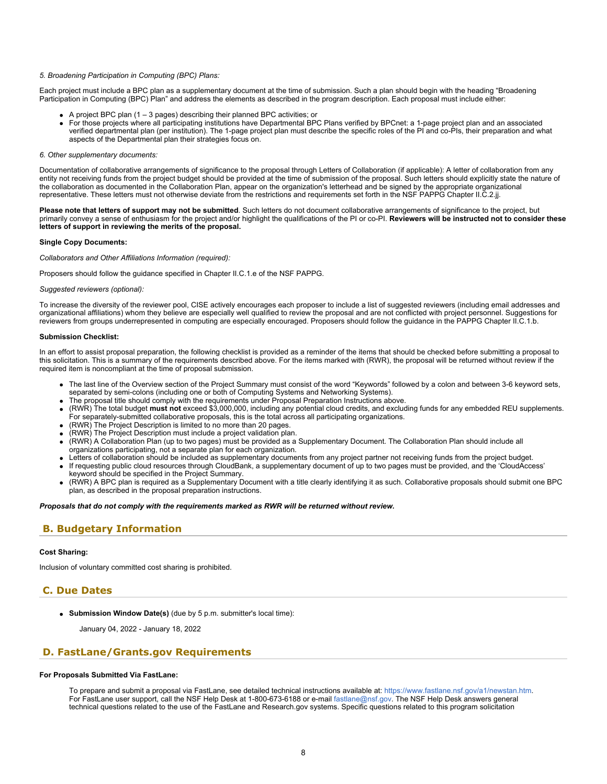### *5. Broadening Participation in Computing (BPC) Plans:*

Each project must include a BPC plan as a supplementary document at the time of submission. Such a plan should begin with the heading "Broadening Participation in Computing (BPC) Plan" and address the elements as described in the program description. Each proposal must include either:

- A project BPC plan (1 3 pages) describing their planned BPC activities; or
	- For those projects where all participating institutions have Departmental BPC Plans verified by BPCnet: a 1-page project plan and an associated verified departmental plan (per institution). The 1-page project plan must describe the specific roles of the PI and co-PIs, their preparation and what aspects of the Departmental plan their strategies focus on.

### *6. Other supplementary documents:*

Documentation of collaborative arrangements of significance to the proposal through Letters of Collaboration (if applicable): A letter of collaboration from any entity not receiving funds from the project budget should be provided at the time of submission of the proposal. Such letters should explicitly state the nature of the collaboration as documented in the Collaboration Plan, appear on the organization's letterhead and be signed by the appropriate organizational representative. These letters must not otherwise deviate from the restrictions and requirements set forth in the NSF PAPPG Chapter II.C.2.jj.

**Please note that letters of support may not be submitted**. Such letters do not document collaborative arrangements of significance to the project, but primarily convey a sense of enthusiasm for the project and/or highlight the qualifications of the PI or co-PI. **Reviewers will be instructed not to consider these letters of support in reviewing the merits of the proposal.**

#### **Single Copy Documents:**

*Collaborators and Other Affiliations Information (required):*

Proposers should follow the guidance specified in Chapter II.C.1.e of the NSF PAPPG.

#### *Suggested reviewers (optional):*

To increase the diversity of the reviewer pool, CISE actively encourages each proposer to include a list of suggested reviewers (including email addresses and organizational affiliations) whom they believe are especially well qualified to review the proposal and are not conflicted with project personnel. Suggestions for reviewers from groups underrepresented in computing are especially encouraged. Proposers should follow the guidance in the PAPPG Chapter II.C.1.b.

### **Submission Checklist:**

In an effort to assist proposal preparation, the following checklist is provided as a reminder of the items that should be checked before submitting a proposal to this solicitation. This is a summary of the requirements described above. For the items marked with (RWR), the proposal will be returned without review if the required item is noncompliant at the time of proposal submission.

- The last line of the Overview section of the Project Summary must consist of the word "Keywords" followed by a colon and between 3-6 keyword sets, separated by semi-colons (including one or both of Computing Systems and Networking Systems).
- The proposal title should comply with the requirements under Proposal Preparation Instructions above.
- (RWR) The total budget **must not** exceed \$3,000,000, including any potential cloud credits, and excluding funds for any embedded REU supplements. For separately-submitted collaborative proposals, this is the total across all participating organizations.
- (RWR) The Project Description is limited to no more than 20 pages.
- (RWR) The Project Description must include a project validation plan.
- (RWR) A Collaboration Plan (up to two pages) must be provided as a Supplementary Document. The Collaboration Plan should include all organizations participating, not a separate plan for each organization.
- Letters of collaboration should be included as supplementary documents from any project partner not receiving funds from the project budget.
- If requesting public cloud resources through CloudBank, a supplementary document of up to two pages must be provided, and the 'CloudAccess' keyword should be specified in the Project Summary.
- (RWR) A BPC plan is required as a Supplementary Document with a title clearly identifying it as such. Collaborative proposals should submit one BPC plan, as described in the proposal preparation instructions.

*Proposals that do not comply with the requirements marked as RWR will be returned without review.*

### <span id="page-7-0"></span>**B. Budgetary Information**

### **Cost Sharing:**

Inclusion of voluntary committed cost sharing is prohibited.

### <span id="page-7-1"></span>**C. Due Dates**

**Submission Window Date(s)** (due by 5 p.m. submitter's local time):

January 04, 2022 - January 18, 2022

### <span id="page-7-2"></span>**D. FastLane/Grants.gov Requirements**

### **For Proposals Submitted Via FastLane:**

To prepare and submit a proposal via FastLane, see detailed technical instructions available at: <https://www.fastlane.nsf.gov/a1/newstan.htm>. For FastLane user support, call the NSF Help Desk at 1-800-673-6188 or e-mail [fastlane@nsf.gov](mailto:fastlane@nsf.gov). The NSF Help Desk answers general technical questions related to the use of the FastLane and Research.gov systems. Specific questions related to this program solicitation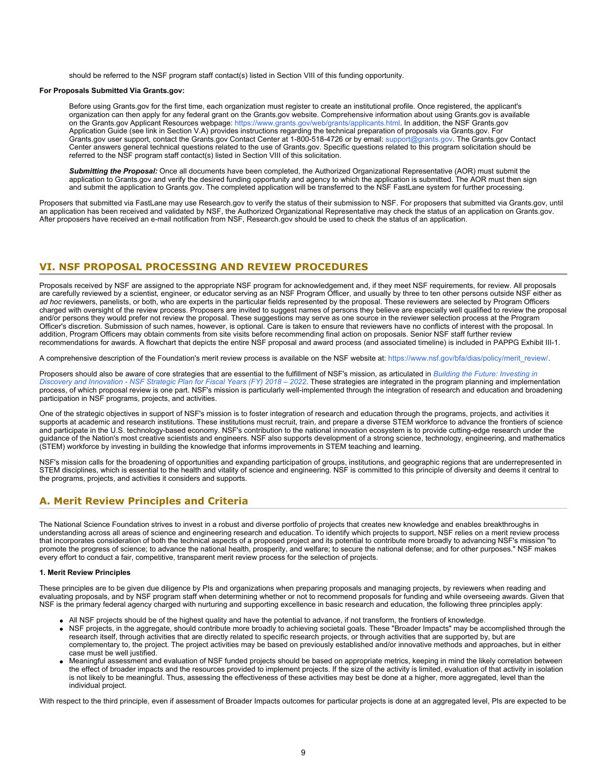should be referred to the NSF program staff contact(s) listed in Section VIII of this funding opportunity.

### **For Proposals Submitted Via Grants.gov:**

Before using Grants.gov for the first time, each organization must register to create an institutional profile. Once registered, the applicant's organization can then apply for any federal grant on the Grants.gov website. Comprehensive information about using Grants.gov is available on the Grants.gov Applicant Resources webpage:<https://www.grants.gov/web/grants/applicants.html>. In addition, the NSF Grants.gov Application Guide (see link in Section V.A) provides instructions regarding the technical preparation of proposals via Grants.gov. For Grants.gov user support, contact the Grants.gov Contact Center at 1-800-518-4726 or by email: [support@grants.gov.](mailto:support@grants.gov) The Grants.gov Contact Center answers general technical questions related to the use of Grants.gov. Specific questions related to this program solicitation should be referred to the NSF program staff contact(s) listed in Section VIII of this solicitation.

*Submitting the Proposal:* Once all documents have been completed, the Authorized Organizational Representative (AOR) must submit the application to Grants.gov and verify the desired funding opportunity and agency to which the application is submitted. The AOR must then sign and submit the application to Grants.gov. The completed application will be transferred to the NSF FastLane system for further processing.

Proposers that submitted via FastLane may use Research.gov to verify the status of their submission to NSF. For proposers that submitted via Grants.gov, until an application has been received and validated by NSF, the Authorized Organizational Representative may check the status of an application on Grants.gov. After proposers have received an e-mail notification from NSF, Research.gov should be used to check the status of an application.

# <span id="page-8-0"></span>**VI. NSF PROPOSAL PROCESSING AND REVIEW PROCEDURES**

Proposals received by NSF are assigned to the appropriate NSF program for acknowledgement and, if they meet NSF requirements, for review. All proposals are carefully reviewed by a scientist, engineer, or educator serving as an NSF Program Officer, and usually by three to ten other persons outside NSF either as *ad hoc* reviewers, panelists, or both, who are experts in the particular fields represented by the proposal. These reviewers are selected by Program Officers charged with oversight of the review process. Proposers are invited to suggest names of persons they believe are especially well qualified to review the proposal and/or persons they would prefer not review the proposal. These suggestions may serve as one source in the reviewer selection process at the Program Officer's discretion. Submission of such names, however, is optional. Care is taken to ensure that reviewers have no conflicts of interest with the proposal. In addition, Program Officers may obtain comments from site visits before recommending final action on proposals. Senior NSF staff further review recommendations for awards. A flowchart that depicts the entire NSF proposal and award process (and associated timeline) is included in PAPPG Exhibit III-1.

A comprehensive description of the Foundation's merit review process is available on the NSF website at: [https://www.nsf.gov/bfa/dias/policy/merit\\_review/](https://www.nsf.gov/bfa/dias/policy/merit_review/).

Proposers should also be aware of core strategies that are essential to the fulfillment of NSF's mission, as articulated in *[Building the Future: Investing in](https://www.nsf.gov/publications/pub_summ.jsp?ods_key=nsf18045) [Discovery and Innovation - NSF Strategic Plan for Fiscal Years \(FY\) 2018 – 2022](https://www.nsf.gov/publications/pub_summ.jsp?ods_key=nsf18045)*. These strategies are integrated in the program planning and implementation process, of which proposal review is one part. NSF's mission is particularly well-implemented through the integration of research and education and broadening participation in NSF programs, projects, and activities.

One of the strategic objectives in support of NSF's mission is to foster integration of research and education through the programs, projects, and activities it supports at academic and research institutions. These institutions must recruit, train, and prepare a diverse STEM workforce to advance the frontiers of science and participate in the U.S. technology-based economy. NSF's contribution to the national innovation ecosystem is to provide cutting-edge research under the guidance of the Nation's most creative scientists and engineers. NSF also supports development of a strong science, technology, engineering, and mathematics (STEM) workforce by investing in building the knowledge that informs improvements in STEM teaching and learning.

NSF's mission calls for the broadening of opportunities and expanding participation of groups, institutions, and geographic regions that are underrepresented in STEM disciplines, which is essential to the health and vitality of science and engineering. NSF is committed to this principle of diversity and deems it central to the programs, projects, and activities it considers and supports.

# <span id="page-8-1"></span>**A. Merit Review Principles and Criteria**

The National Science Foundation strives to invest in a robust and diverse portfolio of projects that creates new knowledge and enables breakthroughs in understanding across all areas of science and engineering research and education. To identify which projects to support, NSF relies on a merit review process that incorporates consideration of both the technical aspects of a proposed project and its potential to contribute more broadly to advancing NSF's mission "to promote the progress of science; to advance the national health, prosperity, and welfare; to secure the national defense; and for other purposes." NSF makes every effort to conduct a fair, competitive, transparent merit review process for the selection of projects.

### **1. Merit Review Principles**

These principles are to be given due diligence by PIs and organizations when preparing proposals and managing projects, by reviewers when reading and evaluating proposals, and by NSF program staff when determining whether or not to recommend proposals for funding and while overseeing awards. Given that NSF is the primary federal agency charged with nurturing and supporting excellence in basic research and education, the following three principles apply:

- All NSF projects should be of the highest quality and have the potential to advance, if not transform, the frontiers of knowledge.
- NSF projects, in the aggregate, should contribute more broadly to achieving societal goals. These "Broader Impacts" may be accomplished through the research itself, through activities that are directly related to specific research projects, or through activities that are supported by, but are complementary to, the project. The project activities may be based on previously established and/or innovative methods and approaches, but in either case must be well justified.
- Meaningful assessment and evaluation of NSF funded projects should be based on appropriate metrics, keeping in mind the likely correlation between the effect of broader impacts and the resources provided to implement projects. If the size of the activity is limited, evaluation of that activity in isolation is not likely to be meaningful. Thus, assessing the effectiveness of these activities may best be done at a higher, more aggregated, level than the individual project.

With respect to the third principle, even if assessment of Broader Impacts outcomes for particular projects is done at an aggregated level, PIs are expected to be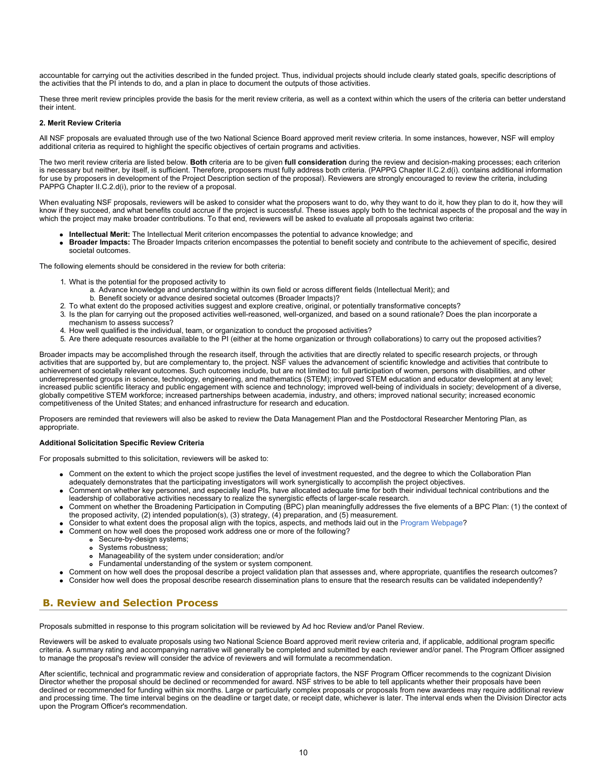accountable for carrying out the activities described in the funded project. Thus, individual projects should include clearly stated goals, specific descriptions of the activities that the PI intends to do, and a plan in place to document the outputs of those activities.

These three merit review principles provide the basis for the merit review criteria, as well as a context within which the users of the criteria can better understand their intent.

### **2. Merit Review Criteria**

All NSF proposals are evaluated through use of the two National Science Board approved merit review criteria. In some instances, however, NSF will employ additional criteria as required to highlight the specific objectives of certain programs and activities.

The two merit review criteria are listed below. **Both** criteria are to be given **full consideration** during the review and decision-making processes; each criterion is necessary but neither, by itself, is sufficient. Therefore, proposers must fully address both criteria. (PAPPG Chapter II.C.2.d(i). contains additional information for use by proposers in development of the Project Description section of the proposal). Reviewers are strongly encouraged to review the criteria, including PAPPG Chapter II.C.2.d(i), prior to the review of a proposal.

When evaluating NSF proposals, reviewers will be asked to consider what the proposers want to do, why they want to do it, how they plan to do it, how they will know if they succeed, and what benefits could accrue if the project is successful. These issues apply both to the technical aspects of the proposal and the way in which the project may make broader contributions. To that end, reviewers will be asked to evaluate all proposals against two criteria:

- **Intellectual Merit:** The Intellectual Merit criterion encompasses the potential to advance knowledge; and
- **Broader Impacts:** The Broader Impacts criterion encompasses the potential to benefit society and contribute to the achievement of specific, desired societal outcomes.

The following elements should be considered in the review for both criteria:

- 1. What is the potential for the proposed activity to
	- a. Advance knowledge and understanding within its own field or across different fields (Intellectual Merit); and
	- b. Benefit society or advance desired societal outcomes (Broader Impacts)?
- 2. To what extent do the proposed activities suggest and explore creative, original, or potentially transformative concepts?
- 3. Is the plan for carrying out the proposed activities well-reasoned, well-organized, and based on a sound rationale? Does the plan incorporate a mechanism to assess success?
- 4. How well qualified is the individual, team, or organization to conduct the proposed activities?
- 5. Are there adequate resources available to the PI (either at the home organization or through collaborations) to carry out the proposed activities?

Broader impacts may be accomplished through the research itself, through the activities that are directly related to specific research projects, or through activities that are supported by, but are complementary to, the project. NSF values the advancement of scientific knowledge and activities that contribute to achievement of societally relevant outcomes. Such outcomes include, but are not limited to: full participation of women, persons with disabilities, and other underrepresented groups in science, technology, engineering, and mathematics (STEM); improved STEM education and educator development at any level; increased public scientific literacy and public engagement with science and technology; improved well-being of individuals in society; development of a diverse, globally competitive STEM workforce; increased partnerships between academia, industry, and others; improved national security; increased economic competitiveness of the United States; and enhanced infrastructure for research and education.

Proposers are reminded that reviewers will also be asked to review the Data Management Plan and the Postdoctoral Researcher Mentoring Plan, as appropriate.

### **Additional Solicitation Specific Review Criteria**

For proposals submitted to this solicitation, reviewers will be asked to:

- Comment on the extent to which the project scope justifies the level of investment requested, and the degree to which the Collaboration Plan adequately demonstrates that the participating investigators will work synergistically to accomplish the project objectives.
- Comment on whether key personnel, and especially lead PIs, have allocated adequate time for both their individual technical contributions and the leadership of collaborative activities necessary to realize the synergistic effects of larger-scale research.
- Comment on whether the Broadening Participation in Computing (BPC) plan meaningfully addresses the five elements of a BPC Plan: (1) the context of the proposed activity, (2) intended population(s), (3) strategy, (4) preparation, and (5) measurement.
- Consider to what extent does the proposal align with the topics, aspects, and methods laid out in the [Program Webpage](https://nsf.gov/funding/pgm_summ.jsp?pims_id=505671)?
- Comment on how well does the proposed work address one or more of the following?
	- Secure-by-design systems;  $\bullet$ 
		- Systems robustness;  $\bullet$
	- $\bullet$ Manageability of the system under consideration; and/or
	- Fundamental understanding of the system or system component.
- Comment on how well does the proposal describe a project validation plan that assesses and, where appropriate, quantifies the research outcomes?
- Consider how well does the proposal describe research dissemination plans to ensure that the research results can be validated independently?

# <span id="page-9-0"></span>**B. Review and Selection Process**

Proposals submitted in response to this program solicitation will be reviewed by Ad hoc Review and/or Panel Review.

Reviewers will be asked to evaluate proposals using two National Science Board approved merit review criteria and, if applicable, additional program specific criteria. A summary rating and accompanying narrative will generally be completed and submitted by each reviewer and/or panel. The Program Officer assigned to manage the proposal's review will consider the advice of reviewers and will formulate a recommendation.

After scientific, technical and programmatic review and consideration of appropriate factors, the NSF Program Officer recommends to the cognizant Division Director whether the proposal should be declined or recommended for award. NSF strives to be able to tell applicants whether their proposals have been declined or recommended for funding within six months. Large or particularly complex proposals or proposals from new awardees may require additional review and processing time. The time interval begins on the deadline or target date, or receipt date, whichever is later. The interval ends when the Division Director acts upon the Program Officer's recommendation.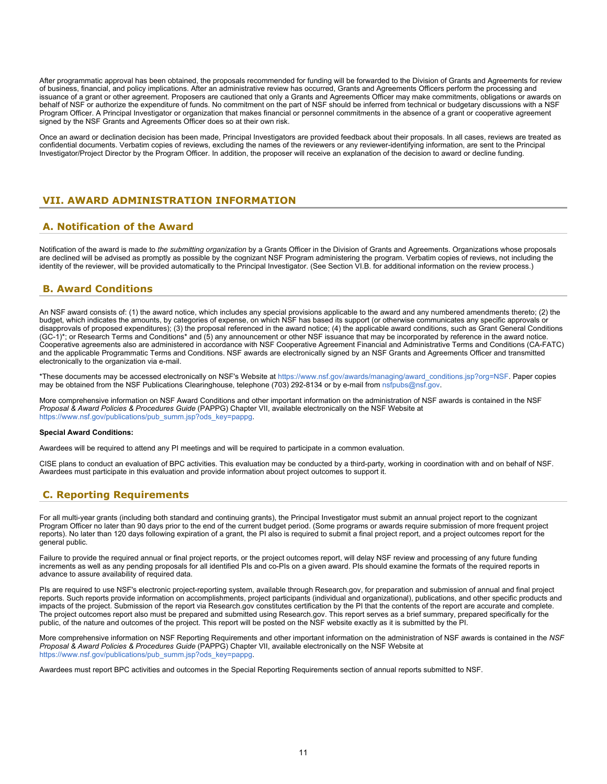After programmatic approval has been obtained, the proposals recommended for funding will be forwarded to the Division of Grants and Agreements for review of business, financial, and policy implications. After an administrative review has occurred, Grants and Agreements Officers perform the processing and issuance of a grant or other agreement. Proposers are cautioned that only a Grants and Agreements Officer may make commitments, obligations or awards on behalf of NSF or authorize the expenditure of funds. No commitment on the part of NSF should be inferred from technical or budgetary discussions with a NSF Program Officer. A Principal Investigator or organization that makes financial or personnel commitments in the absence of a grant or cooperative agreement signed by the NSF Grants and Agreements Officer does so at their own risk.

Once an award or declination decision has been made, Principal Investigators are provided feedback about their proposals. In all cases, reviews are treated as confidential documents. Verbatim copies of reviews, excluding the names of the reviewers or any reviewer-identifying information, are sent to the Principal Investigator/Project Director by the Program Officer. In addition, the proposer will receive an explanation of the decision to award or decline funding.

# <span id="page-10-0"></span>**VII. AWARD ADMINISTRATION INFORMATION**

# <span id="page-10-1"></span>**A. Notification of the Award**

Notification of the award is made to *the submitting organization* by a Grants Officer in the Division of Grants and Agreements. Organizations whose proposals are declined will be advised as promptly as possible by the cognizant NSF Program administering the program. Verbatim copies of reviews, not including the identity of the reviewer, will be provided automatically to the Principal Investigator. (See Section VI.B. for additional information on the review process.)

# <span id="page-10-2"></span>**B. Award Conditions**

An NSF award consists of: (1) the award notice, which includes any special provisions applicable to the award and any numbered amendments thereto; (2) the budget, which indicates the amounts, by categories of expense, on which NSF has based its support (or otherwise communicates any specific approvals or disapprovals of proposed expenditures); (3) the proposal referenced in the award notice; (4) the applicable award conditions, such as Grant General Conditions (GC-1)\*; or Research Terms and Conditions\* and (5) any announcement or other NSF issuance that may be incorporated by reference in the award notice. Cooperative agreements also are administered in accordance with NSF Cooperative Agreement Financial and Administrative Terms and Conditions (CA-FATC) and the applicable Programmatic Terms and Conditions. NSF awards are electronically signed by an NSF Grants and Agreements Officer and transmitted electronically to the organization via e-mail.

\*These documents may be accessed electronically on NSF's Website at [https://www.nsf.gov/awards/managing/award\\_conditions.jsp?org=NSF](https://www.nsf.gov/awards/managing/award_conditions.jsp?org=NSF). Paper copies may be obtained from the NSF Publications Clearinghouse, telephone (703) 292-8134 or by e-mail from [nsfpubs@nsf.gov.](mailto:nsfpubs@nsf.gov)

More comprehensive information on NSF Award Conditions and other important information on the administration of NSF awards is contained in the NSF *Proposal & Award Policies & Procedures Guide* (PAPPG) Chapter VII, available electronically on the NSF Website at [https://www.nsf.gov/publications/pub\\_summ.jsp?ods\\_key=pappg.](https://www.nsf.gov/publications/pub_summ.jsp?ods_key=pappg)

### **Special Award Conditions:**

Awardees will be required to attend any PI meetings and will be required to participate in a common evaluation.

CISE plans to conduct an evaluation of BPC activities. This evaluation may be conducted by a third-party, working in coordination with and on behalf of NSF. Awardees must participate in this evaluation and provide information about project outcomes to support it.

# <span id="page-10-3"></span>**C. Reporting Requirements**

For all multi-year grants (including both standard and continuing grants), the Principal Investigator must submit an annual project report to the cognizant Program Officer no later than 90 days prior to the end of the current budget period. (Some programs or awards require submission of more frequent project reports). No later than 120 days following expiration of a grant, the PI also is required to submit a final project report, and a project outcomes report for the general public.

Failure to provide the required annual or final project reports, or the project outcomes report, will delay NSF review and processing of any future funding increments as well as any pending proposals for all identified PIs and co-PIs on a given award. PIs should examine the formats of the required reports in advance to assure availability of required data.

PIs are required to use NSF's electronic project-reporting system, available through Research.gov, for preparation and submission of annual and final project reports. Such reports provide information on accomplishments, project participants (individual and organizational), publications, and other specific products and impacts of the project. Submission of the report via Research.gov constitutes certification by the PI that the contents of the report are accurate and complete. The project outcomes report also must be prepared and submitted using Research.gov. This report serves as a brief summary, prepared specifically for the public, of the nature and outcomes of the project. This report will be posted on the NSF website exactly as it is submitted by the PI.

More comprehensive information on NSF Reporting Requirements and other important information on the administration of NSF awards is contained in the *NSF Proposal & Award Policies & Procedures Guide* (PAPPG) Chapter VII, available electronically on the NSF Website at [https://www.nsf.gov/publications/pub\\_summ.jsp?ods\\_key=pappg.](https://www.nsf.gov/publications/pub_summ.jsp?ods_key=pappg)

Awardees must report BPC activities and outcomes in the Special Reporting Requirements section of annual reports submitted to NSF.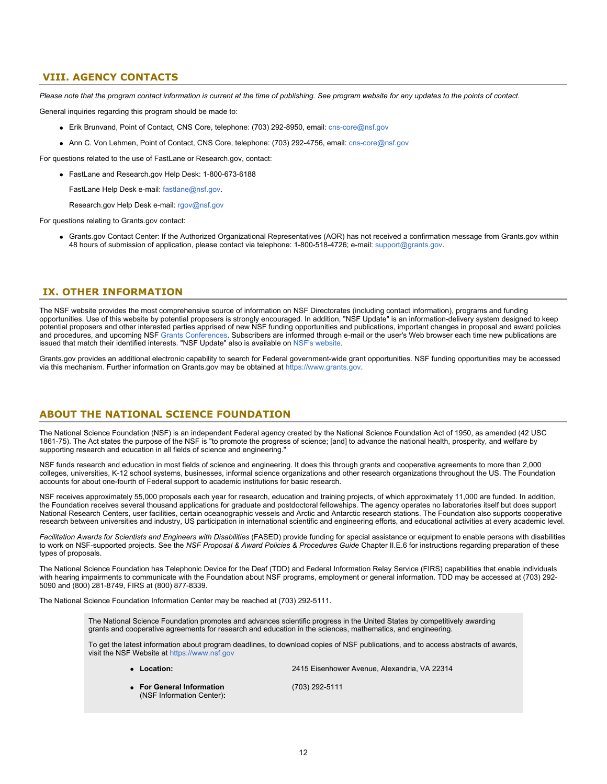# <span id="page-11-0"></span>**VIII. AGENCY CONTACTS**

*Please note that the program contact information is current at the time of publishing. See program website for any updates to the points of contact.*

General inquiries regarding this program should be made to:

- Erik Brunvand, Point of Contact, CNS Core, telephone: (703) 292-8950, email: [cns-core@nsf.gov](mailto:cns-core@nsf.gov)
- Ann C. Von Lehmen, Point of Contact, CNS Core, telephone: (703) 292-4756, email: [cns-core@nsf.gov](mailto:cns-core@nsf.gov)

For questions related to the use of FastLane or Research.gov, contact:

FastLane and Research.gov Help Desk: 1-800-673-6188

FastLane Help Desk e-mail: [fastlane@nsf.gov](mailto:fastlane@nsf.gov).

Research.gov Help Desk e-mail: [rgov@nsf.gov](mailto:rgov@nsf.gov)

For questions relating to Grants.gov contact:

Grants.gov Contact Center: If the Authorized Organizational Representatives (AOR) has not received a confirmation message from Grants.gov within 48 hours of submission of application, please contact via telephone: 1-800-518-4726; e-mail: [support@grants.gov](mailto:support@grants.gov).

### <span id="page-11-1"></span>**IX. OTHER INFORMATION**

The NSF website provides the most comprehensive source of information on NSF Directorates (including contact information), programs and funding opportunities. Use of this website by potential proposers is strongly encouraged. In addition, "NSF Update" is an information-delivery system designed to keep potential proposers and other interested parties apprised of new NSF funding opportunities and publications, important changes in proposal and award policies and procedures, and upcoming NSF [Grants Conferences](https://www.nsf.gov/bfa/dias/policy/outreach.jsp). Subscribers are informed through e-mail or the user's Web browser each time new publications are issued that match their identified interests. "NSF Update" also is available on [NSF's website](https://www.nsf.gov/cgi-bin/goodbye?https://public.govdelivery.com/accounts/USNSF/subscriber/new?topic_id=USNSF_179).

Grants.gov provides an additional electronic capability to search for Federal government-wide grant opportunities. NSF funding opportunities may be accessed via this mechanism. Further information on Grants.gov may be obtained at [https://www.grants.gov](https://www.grants.gov/).

# **ABOUT THE NATIONAL SCIENCE FOUNDATION**

The National Science Foundation (NSF) is an independent Federal agency created by the National Science Foundation Act of 1950, as amended (42 USC 1861-75). The Act states the purpose of the NSF is "to promote the progress of science; [and] to advance the national health, prosperity, and welfare by supporting research and education in all fields of science and engineering."

NSF funds research and education in most fields of science and engineering. It does this through grants and cooperative agreements to more than 2,000 colleges, universities, K-12 school systems, businesses, informal science organizations and other research organizations throughout the US. The Foundation accounts for about one-fourth of Federal support to academic institutions for basic research.

NSF receives approximately 55,000 proposals each year for research, education and training projects, of which approximately 11,000 are funded. In addition, the Foundation receives several thousand applications for graduate and postdoctoral fellowships. The agency operates no laboratories itself but does support National Research Centers, user facilities, certain oceanographic vessels and Arctic and Antarctic research stations. The Foundation also supports cooperative research between universities and industry, US participation in international scientific and engineering efforts, and educational activities at every academic level.

*Facilitation Awards for Scientists and Engineers with Disabilities* (FASED) provide funding for special assistance or equipment to enable persons with disabilities to work on NSF-supported projects. See the *NSF Proposal & Award Policies & Procedures Guide* Chapter II.E.6 for instructions regarding preparation of these types of proposals.

The National Science Foundation has Telephonic Device for the Deaf (TDD) and Federal Information Relay Service (FIRS) capabilities that enable individuals with hearing impairments to communicate with the Foundation about NSF programs, employment or general information. TDD may be accessed at (703) 292- 5090 and (800) 281-8749, FIRS at (800) 877-8339.

The National Science Foundation Information Center may be reached at (703) 292-5111.

The National Science Foundation promotes and advances scientific progress in the United States by competitively awarding grants and cooperative agreements for research and education in the sciences, mathematics, and engineering.

To get the latest information about program deadlines, to download copies of NSF publications, and to access abstracts of awards, visit the NSF Website at [https://www.nsf.gov](https://www.nsf.gov/)

| • Location:                                            | 2415 Eisenhower Avenue. Alexandria. VA 22314 |  |  |  |  |  |  |
|--------------------------------------------------------|----------------------------------------------|--|--|--|--|--|--|
| • For General Information<br>(NSF Information Center): | (703) 292-5111                               |  |  |  |  |  |  |